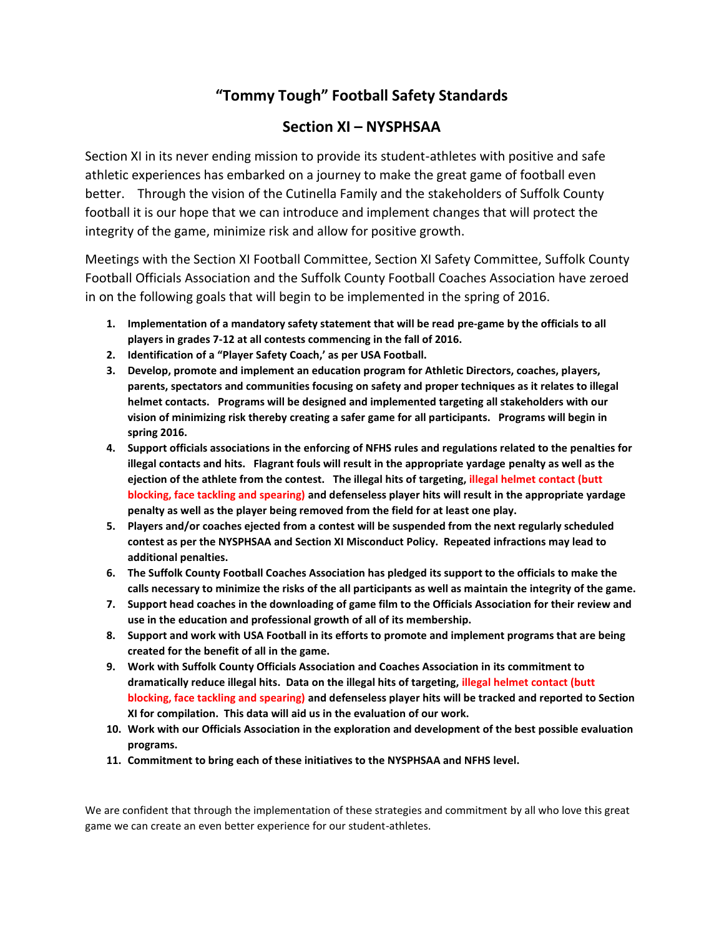## **"Tommy Tough" Football Safety Standards**

## **Section XI – NYSPHSAA**

Section XI in its never ending mission to provide its student-athletes with positive and safe athletic experiences has embarked on a journey to make the great game of football even better. Through the vision of the Cutinella Family and the stakeholders of Suffolk County football it is our hope that we can introduce and implement changes that will protect the integrity of the game, minimize risk and allow for positive growth.

Meetings with the Section XI Football Committee, Section XI Safety Committee, Suffolk County Football Officials Association and the Suffolk County Football Coaches Association have zeroed in on the following goals that will begin to be implemented in the spring of 2016.

- **1. Implementation of a mandatory safety statement that will be read pre-game by the officials to all players in grades 7-12 at all contests commencing in the fall of 2016.**
- **2. Identification of a "Player Safety Coach,' as per USA Football.**
- **3. Develop, promote and implement an education program for Athletic Directors, coaches, players, parents, spectators and communities focusing on safety and proper techniques as it relates to illegal helmet contacts. Programs will be designed and implemented targeting all stakeholders with our vision of minimizing risk thereby creating a safer game for all participants. Programs will begin in spring 2016.**
- **4. Support officials associations in the enforcing of NFHS rules and regulations related to the penalties for illegal contacts and hits. Flagrant fouls will result in the appropriate yardage penalty as well as the ejection of the athlete from the contest. The illegal hits of targeting, illegal helmet contact (butt blocking, face tackling and spearing) and defenseless player hits will result in the appropriate yardage penalty as well as the player being removed from the field for at least one play.**
- **5. Players and/or coaches ejected from a contest will be suspended from the next regularly scheduled contest as per the NYSPHSAA and Section XI Misconduct Policy. Repeated infractions may lead to additional penalties.**
- **6. The Suffolk County Football Coaches Association has pledged its support to the officials to make the calls necessary to minimize the risks of the all participants as well as maintain the integrity of the game.**
- **7. Support head coaches in the downloading of game film to the Officials Association for their review and use in the education and professional growth of all of its membership.**
- **8. Support and work with USA Football in its efforts to promote and implement programs that are being created for the benefit of all in the game.**
- **9. Work with Suffolk County Officials Association and Coaches Association in its commitment to dramatically reduce illegal hits. Data on the illegal hits of targeting, illegal helmet contact (butt blocking, face tackling and spearing) and defenseless player hits will be tracked and reported to Section XI for compilation. This data will aid us in the evaluation of our work.**
- **10. Work with our Officials Association in the exploration and development of the best possible evaluation programs.**
- **11. Commitment to bring each of these initiatives to the NYSPHSAA and NFHS level.**

We are confident that through the implementation of these strategies and commitment by all who love this great game we can create an even better experience for our student-athletes.